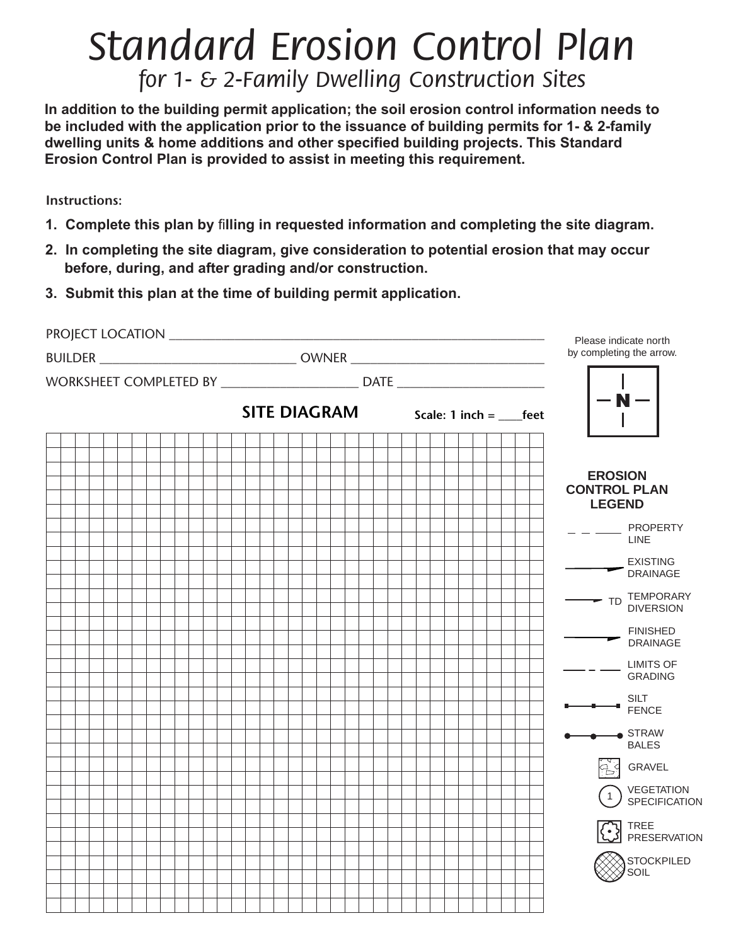# *Standard Erosion Control Plan for 1- & 2-Family Dwelling Construction Sites*

**In addition to the building permit application; the soil erosion control information needs to be included with the application prior to the issuance of building permits for 1- & 2-family dwelling units & home additions and other specified building projects. This Standard Erosion Control Plan is provided to assist in meeting this requirement.**

**Instructions:**

- **1. Complete this plan by** fi**lling in requested information and completing the site diagram.**
- **2. In completing the site diagram, give consideration to potential erosion that may occur before, during, and after grading and/or construction.**
- **3. Submit this plan at the time of building permit application.**

|                                                                                  |                                                                                  |                                                   | Please indicate north                                  |
|----------------------------------------------------------------------------------|----------------------------------------------------------------------------------|---------------------------------------------------|--------------------------------------------------------|
| BUILDER ___________________________________ OWNER ______________________________ |                                                                                  | by completing the arrow.                          |                                                        |
|                                                                                  | WORKSHEET COMPLETED BY __________________________ DATE _________________________ |                                                   |                                                        |
|                                                                                  |                                                                                  | <b>SITE DIAGRAM</b> Scale: $1$ inch =  _____ feet | $\cdot$ N $-$                                          |
|                                                                                  |                                                                                  |                                                   |                                                        |
|                                                                                  |                                                                                  |                                                   | <b>EROSION</b><br><b>CONTROL PLAN</b><br><b>LEGEND</b> |
|                                                                                  |                                                                                  |                                                   | $ -$ PROPERTY<br><b>LINE</b>                           |
|                                                                                  |                                                                                  |                                                   | EXISTING<br>DRAINAGE                                   |
|                                                                                  |                                                                                  |                                                   | TD TEMPORARY<br><b>DIVERSION</b>                       |
|                                                                                  |                                                                                  |                                                   | <b>FINISHED</b><br>DRAINAGE                            |
|                                                                                  |                                                                                  |                                                   | <b>LIMITS OF</b><br><b>GRADING</b>                     |
|                                                                                  |                                                                                  |                                                   | $\overline{\phantom{a}}$ SILT<br>FENCE                 |
|                                                                                  |                                                                                  |                                                   | $\bullet$ STRAW<br><b>BALES</b>                        |
|                                                                                  |                                                                                  |                                                   | <b>A</b> S GRAVEL                                      |
|                                                                                  |                                                                                  |                                                   | (1) VEGETATION<br>SPECIFICATION                        |
|                                                                                  |                                                                                  |                                                   | <b>AN TREE</b><br>PRESERVATION                         |
|                                                                                  |                                                                                  |                                                   | STOCKPILED<br>SOIL                                     |
|                                                                                  |                                                                                  |                                                   |                                                        |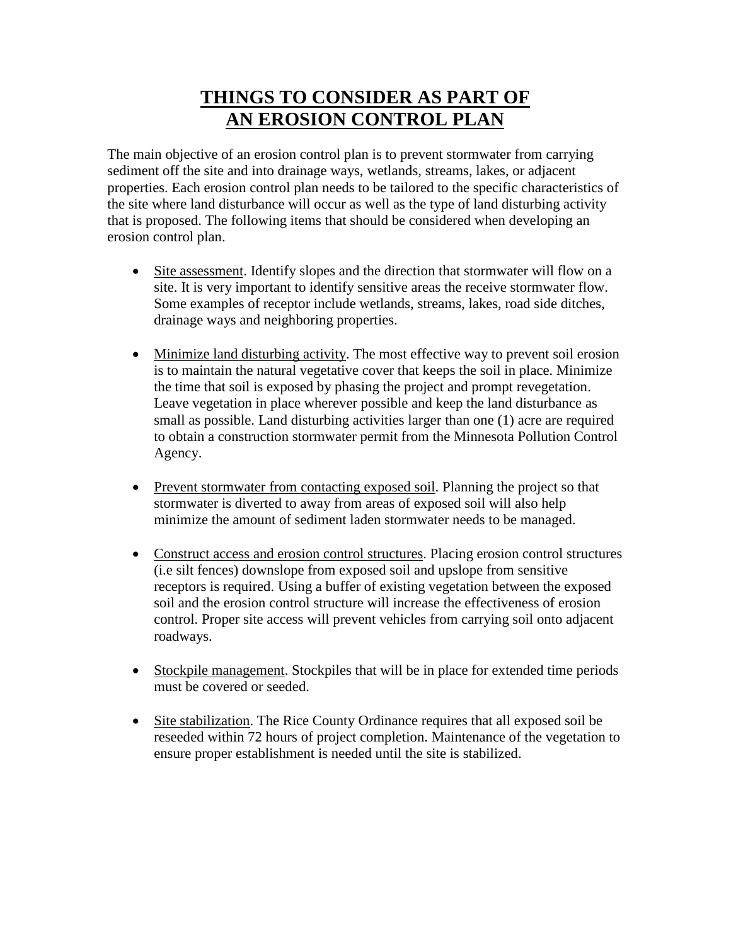## **THINGS TO CONSIDER AS PART OF AN EROSION CONTROL PLAN**

The main objective of an erosion control plan is to prevent stormwater from carrying sediment off the site and into drainage ways, wetlands, streams, lakes, or adjacent properties. Each erosion control plan needs to be tailored to the specific characteristics of the site where land disturbance will occur as well as the type of land disturbing activity that is proposed. The following items that should be considered when developing an erosion control plan.

- Site assessment. Identify slopes and the direction that stormwater will flow on a site. It is very important to identify sensitive areas the receive stormwater flow. Some examples of receptor include wetlands, streams, lakes, road side ditches, drainage ways and neighboring properties.
- Minimize land disturbing activity. The most effective way to prevent soil erosion is to maintain the natural vegetative cover that keeps the soil in place. Minimize the time that soil is exposed by phasing the project and prompt revegetation. Leave vegetation in place wherever possible and keep the land disturbance as small as possible. Land disturbing activities larger than one (1) acre are required to obtain a construction stormwater permit from the Minnesota Pollution Control Agency.
- Prevent stormwater from contacting exposed soil. Planning the project so that stormwater is diverted to away from areas of exposed soil will also help minimize the amount of sediment laden stormwater needs to be managed.
- Construct access and erosion control structures. Placing erosion control structures (i.e silt fences) downslope from exposed soil and upslope from sensitive receptors is required. Using a buffer of existing vegetation between the exposed soil and the erosion control structure will increase the effectiveness of erosion control. Proper site access will prevent vehicles from carrying soil onto adjacent roadways.
- Stockpile management. Stockpiles that will be in place for extended time periods must be covered or seeded.
- Site stabilization. The Rice County Ordinance requires that all exposed soil be reseeded within 72 hours of project completion. Maintenance of the vegetation to ensure proper establishment is needed until the site is stabilized.